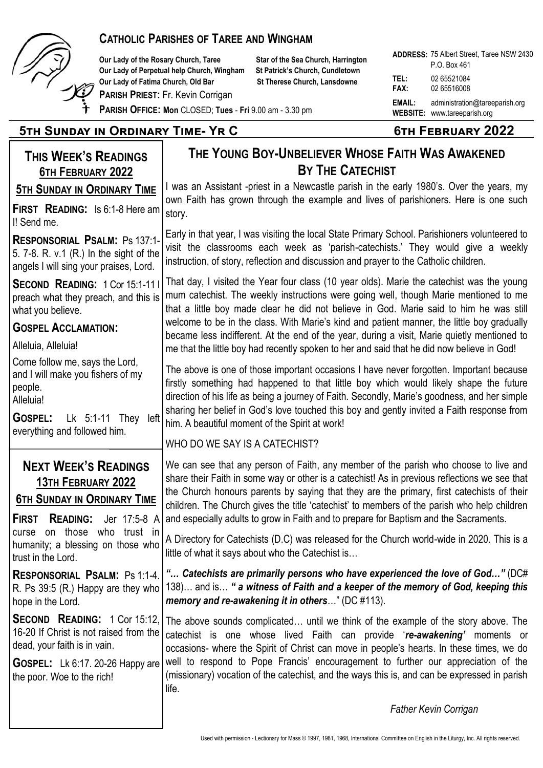

# **CATHOLIC PARISHES OF TAREE AND WINGHAM**

Our Lady of the Rosary Church, Taree Star of the Sea Church, Harrington **Our Lady of Perpetual help Church, Wingham St Patrick's Church, Cundletown Our Lady of Fatima Church, Old Bar St Therese Church, Lansdowne** 

**PARISH PRIEST:** Fr. Kevin Corrigan

|                     | <b>ADDRESS: 75 Albert Street, Taree NSW 2430</b>                      |
|---------------------|-----------------------------------------------------------------------|
|                     | P.O. Box 461                                                          |
| TEL:<br><b>FAX:</b> | 02 65521084<br>02 65516008                                            |
| <b>EMAIL:</b>       | administration@tareeparish.org<br><b>WEBSITE:</b> www.tareeparish.org |

**PARISH OFFICE: Mon** CLOSED; **Tues** - **Fri** 9.00 am - 3.30 pm

# **5th Sunday in Ordinary Time- Yr C 6th February 2022**

| <b>THIS WEEK'S READINGS</b>                                                                                                                                                     | THE YOUNG BOY-UNBELIEVER WHOSE FAITH WAS AWAKENED                                                                                                                                                                                                                                                                                                                                                                                                                                                                                                                      |
|---------------------------------------------------------------------------------------------------------------------------------------------------------------------------------|------------------------------------------------------------------------------------------------------------------------------------------------------------------------------------------------------------------------------------------------------------------------------------------------------------------------------------------------------------------------------------------------------------------------------------------------------------------------------------------------------------------------------------------------------------------------|
| <b>6TH FEBRUARY 2022</b>                                                                                                                                                        | BY THE CATECHIST                                                                                                                                                                                                                                                                                                                                                                                                                                                                                                                                                       |
| <b>5TH SUNDAY IN ORDINARY TIME</b>                                                                                                                                              | I was an Assistant -priest in a Newcastle parish in the early 1980's. Over the years, my<br>own Faith has grown through the example and lives of parishioners. Here is one such<br>story.                                                                                                                                                                                                                                                                                                                                                                              |
| <b>FIRST READING:</b> Is 6:1-8 Here am<br>I! Send me.                                                                                                                           |                                                                                                                                                                                                                                                                                                                                                                                                                                                                                                                                                                        |
| <b>RESPONSORIAL PSALM: Ps 137:1-</b><br>5. 7-8. R. v.1 (R.) In the sight of the<br>angels I will sing your praises, Lord.                                                       | Early in that year, I was visiting the local State Primary School. Parishioners volunteered to<br>visit the classrooms each week as 'parish-catechists.' They would give a weekly<br>instruction, of story, reflection and discussion and prayer to the Catholic children.                                                                                                                                                                                                                                                                                             |
| <b>SECOND READING: 1 Cor 15:1-11  </b><br>preach what they preach, and this is<br>what you believe.                                                                             | That day, I visited the Year four class (10 year olds). Marie the catechist was the young<br>mum catechist. The weekly instructions were going well, though Marie mentioned to me<br>that a little boy made clear he did not believe in God. Marie said to him he was still<br>welcome to be in the class. With Marie's kind and patient manner, the little boy gradually<br>became less indifferent. At the end of the year, during a visit, Marie quietly mentioned to<br>me that the little boy had recently spoken to her and said that he did now believe in God! |
| <b>GOSPEL ACCLAMATION:</b>                                                                                                                                                      |                                                                                                                                                                                                                                                                                                                                                                                                                                                                                                                                                                        |
| Alleluia, Alleluia!                                                                                                                                                             |                                                                                                                                                                                                                                                                                                                                                                                                                                                                                                                                                                        |
| Come follow me, says the Lord,<br>and I will make you fishers of my<br>people.<br>Alleluia!<br>Lk $5:1-11$ They<br><b>GOSPEL:</b><br>left                                       | The above is one of those important occasions I have never forgotten. Important because<br>firstly something had happened to that little boy which would likely shape the future<br>direction of his life as being a journey of Faith. Secondly, Marie's goodness, and her simple<br>sharing her belief in God's love touched this boy and gently invited a Faith response from<br>him. A beautiful moment of the Spirit at work!                                                                                                                                      |
| everything and followed him.                                                                                                                                                    | WHO DO WE SAY IS A CATECHIST?                                                                                                                                                                                                                                                                                                                                                                                                                                                                                                                                          |
| <b>NEXT WEEK'S READINGS</b><br><b>13TH FEBRUARY 2022</b><br><b>6TH SUNDAY IN ORDINARY TIME</b><br><b>FIRST</b><br><b>READING:</b><br>Jer 17:5-8 A                               | We can see that any person of Faith, any member of the parish who choose to live and<br>share their Faith in some way or other is a catechist! As in previous reflections we see that<br>the Church honours parents by saying that they are the primary, first cate chists of their<br>children. The Church gives the title 'catechist' to members of the parish who help children<br>and especially adults to grow in Faith and to prepare for Baptism and the Sacraments.                                                                                            |
| those<br>who trust in<br>on<br>curse<br>humanity; a blessing on those who<br>trust in the Lord.                                                                                 | A Directory for Catechists (D.C) was released for the Church world-wide in 2020. This is a<br>little of what it says about who the Catechist is.                                                                                                                                                                                                                                                                                                                                                                                                                       |
| <b>RESPONSORIAL PSALM: Ps 1:1-4.</b><br>R. Ps 39:5 (R.) Happy are they who  <br>hope in the Lord.                                                                               | " Catechists are primarily persons who have experienced the love of God" (DC#<br>138) and is " a witness of Faith and a keeper of the memory of God, keeping this<br>memory and re-awakening it in others" (DC #113).                                                                                                                                                                                                                                                                                                                                                  |
| <b>SECOND READING:</b> 1 Cor 15:12,<br>16-20 If Christ is not raised from the<br>dead, your faith is in vain.<br>GOSPEL: Lk 6:17. 20-26 Happy are<br>the poor. Woe to the rich! | The above sounds complicated until we think of the example of the story above. The<br>catechist is one whose lived Faith can provide 're-awakening' moments or<br>occasions- where the Spirit of Christ can move in people's hearts. In these times, we do<br>well to respond to Pope Francis' encouragement to further our appreciation of the<br>(missionary) vocation of the catechist, and the ways this is, and can be expressed in parish<br>life.                                                                                                               |
|                                                                                                                                                                                 | <b>Father Kevin Corrigan</b>                                                                                                                                                                                                                                                                                                                                                                                                                                                                                                                                           |